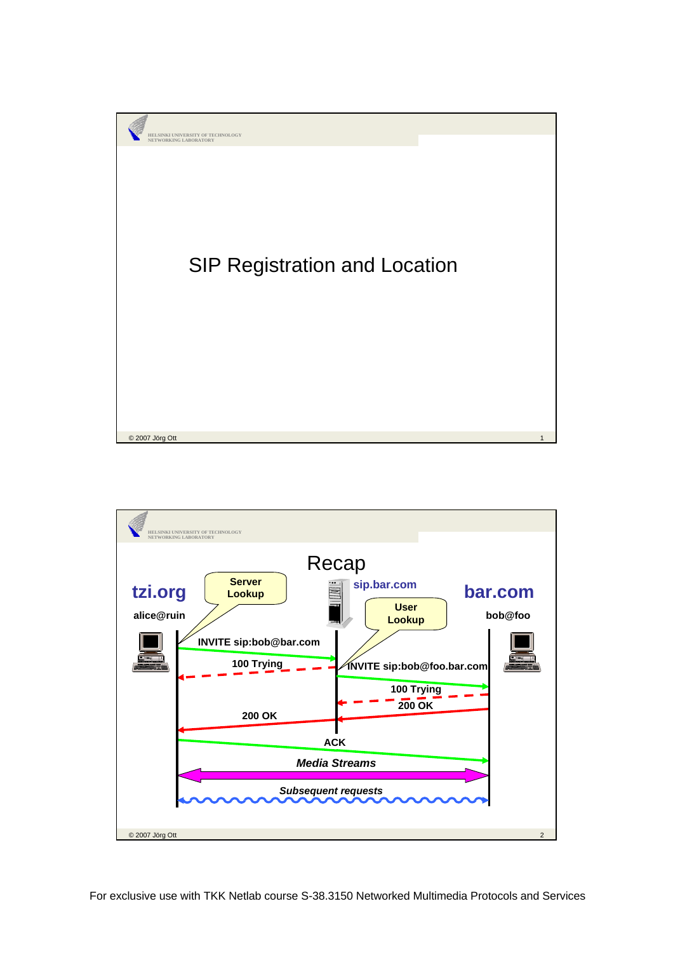

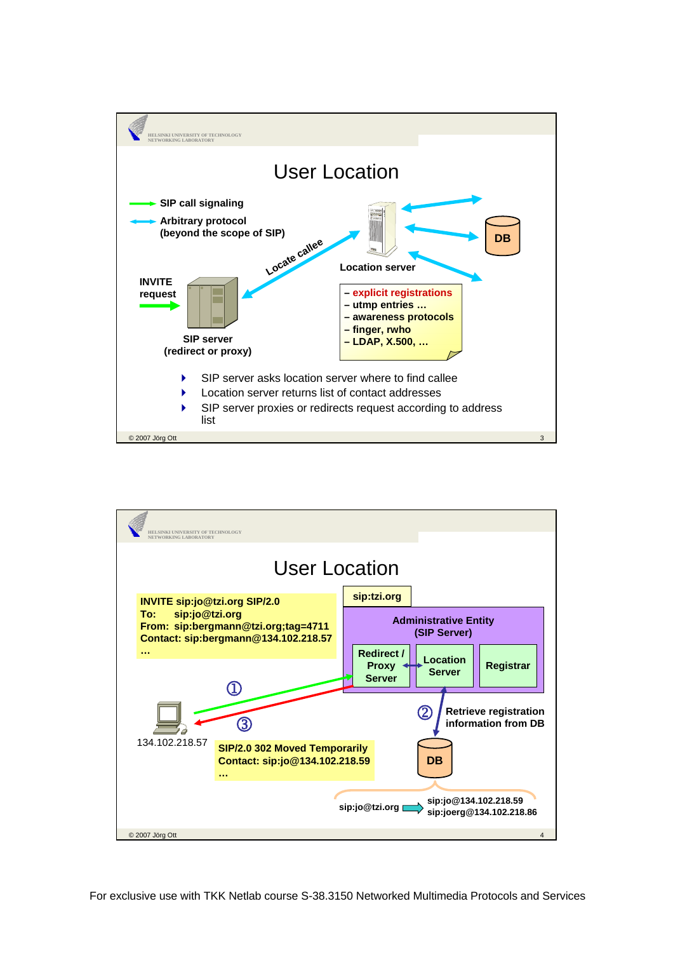

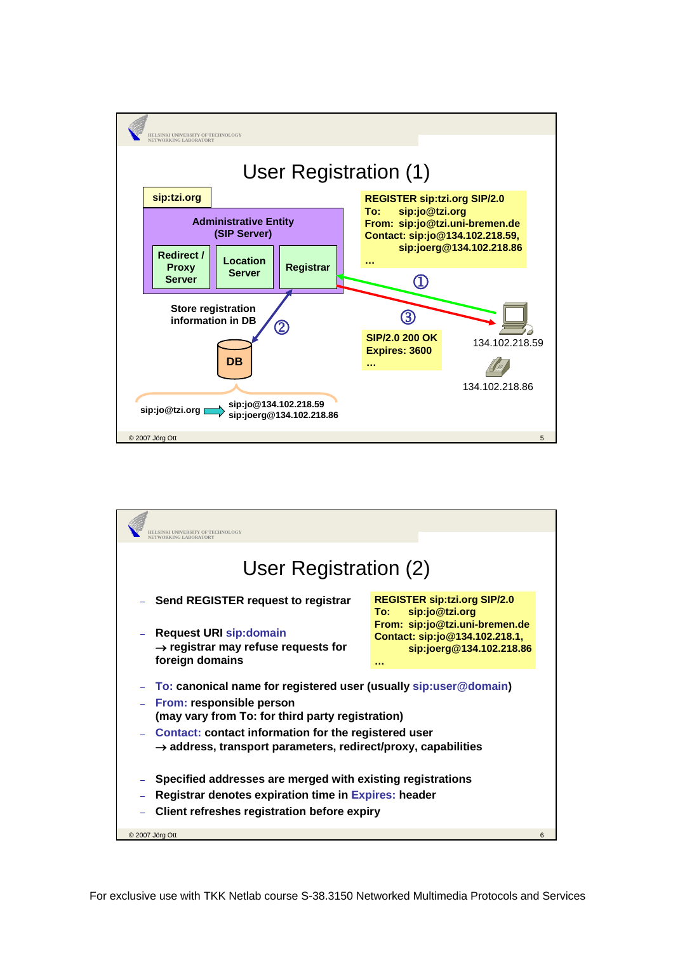

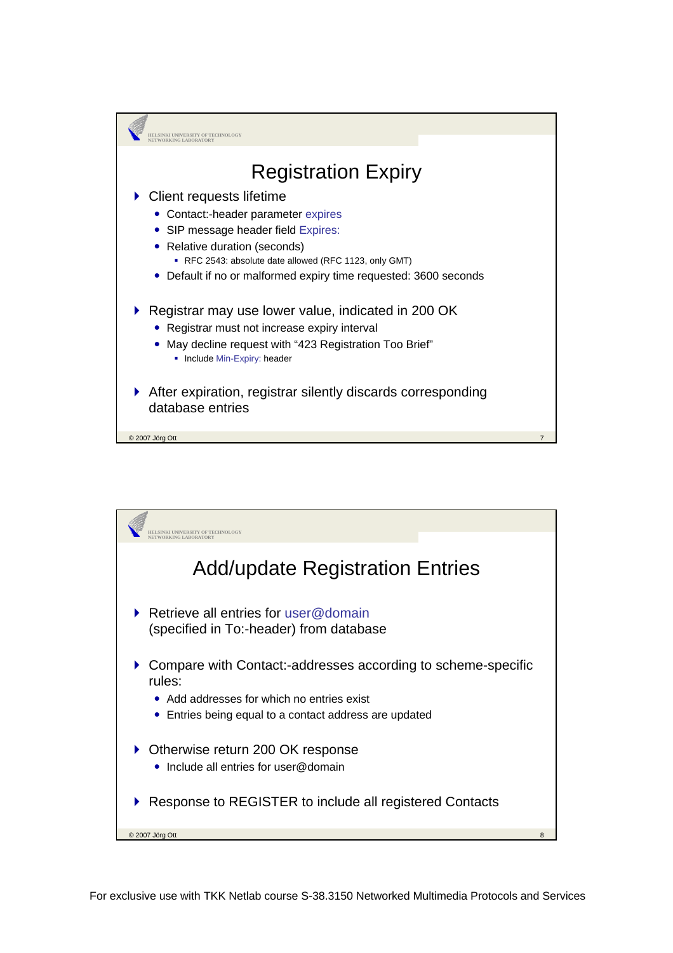

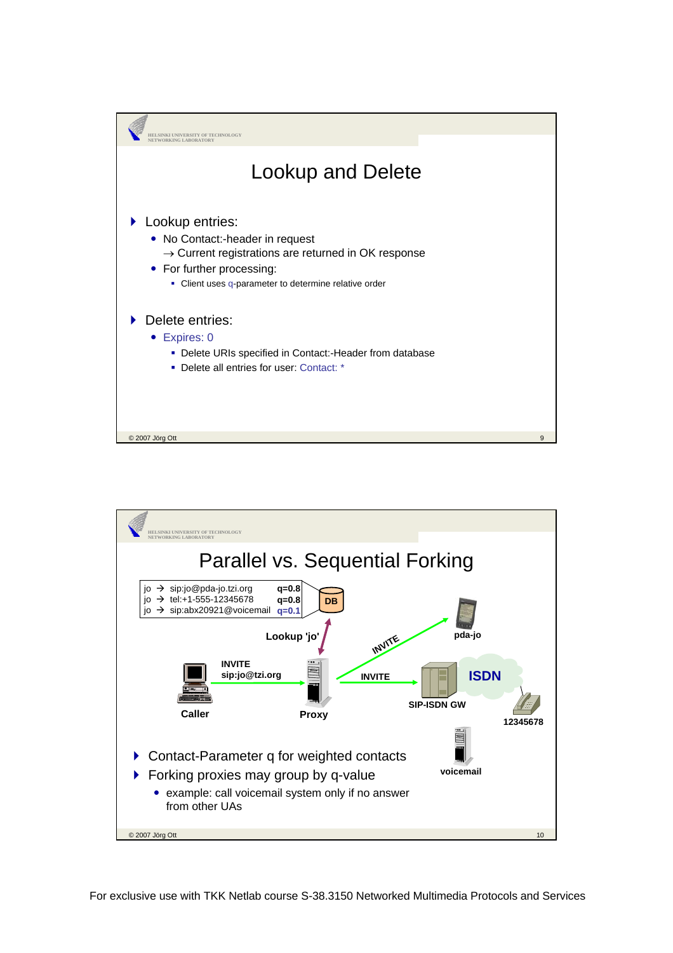

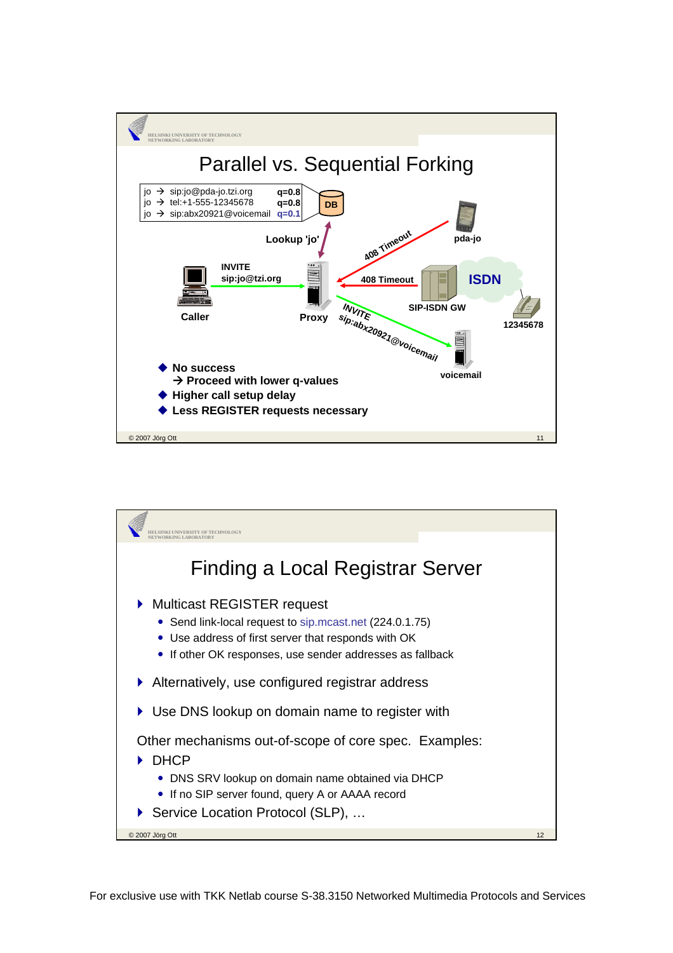

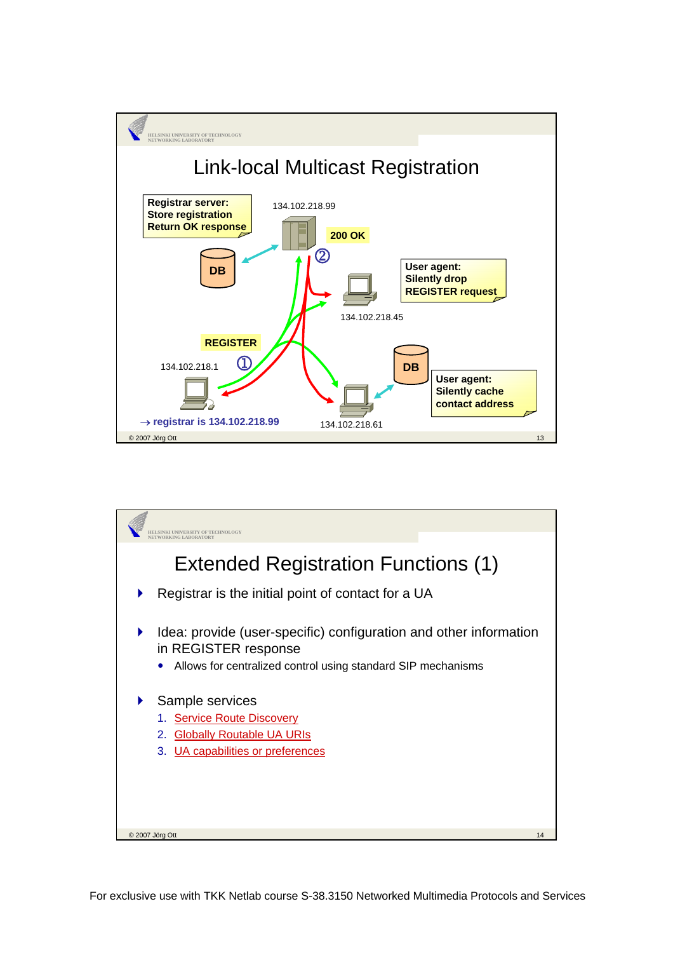

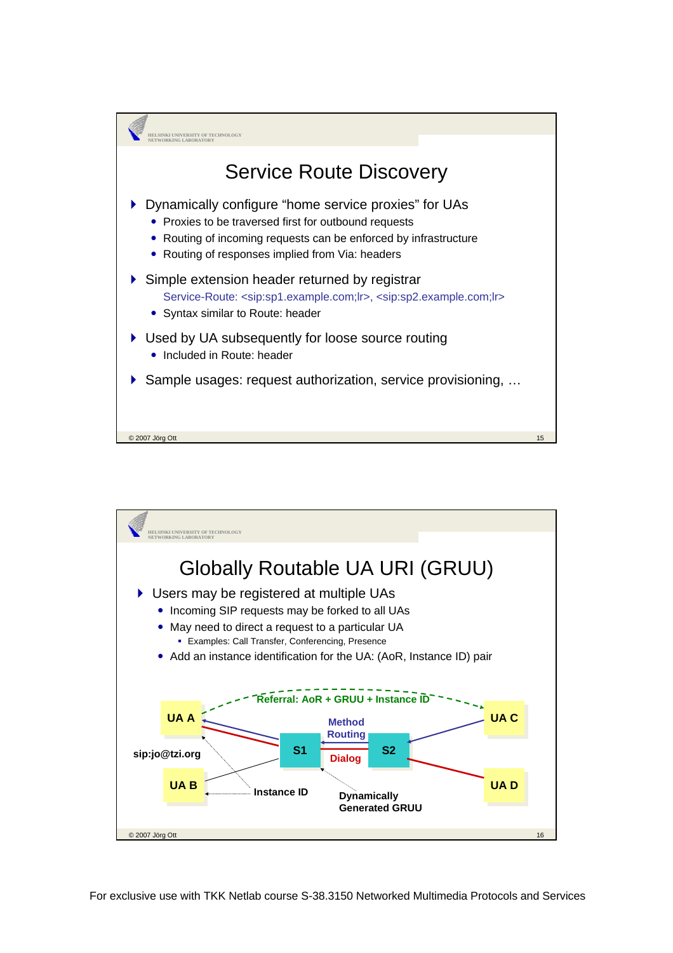

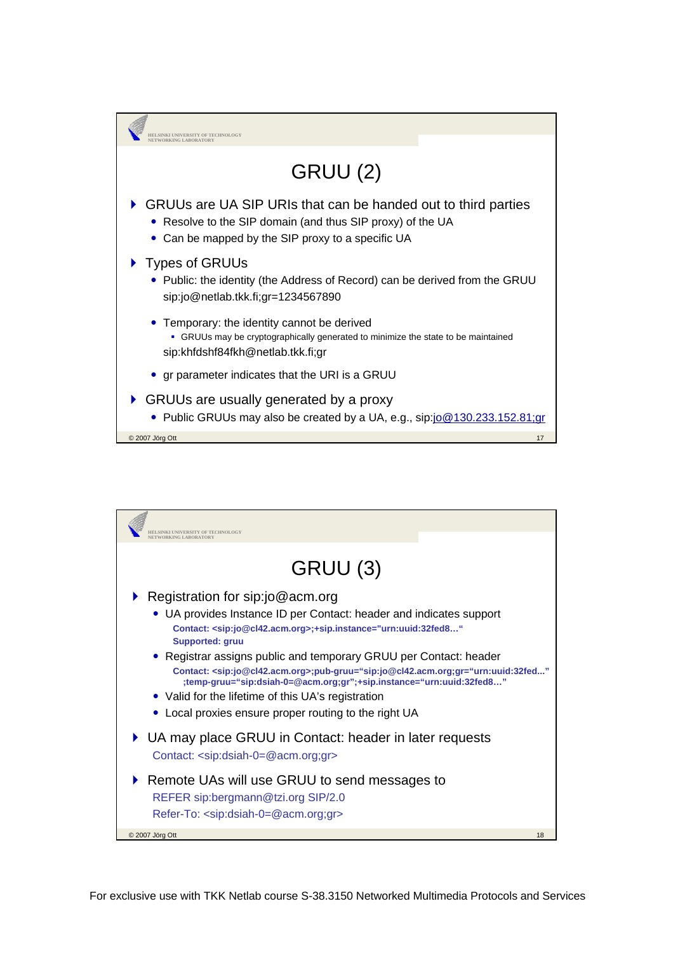

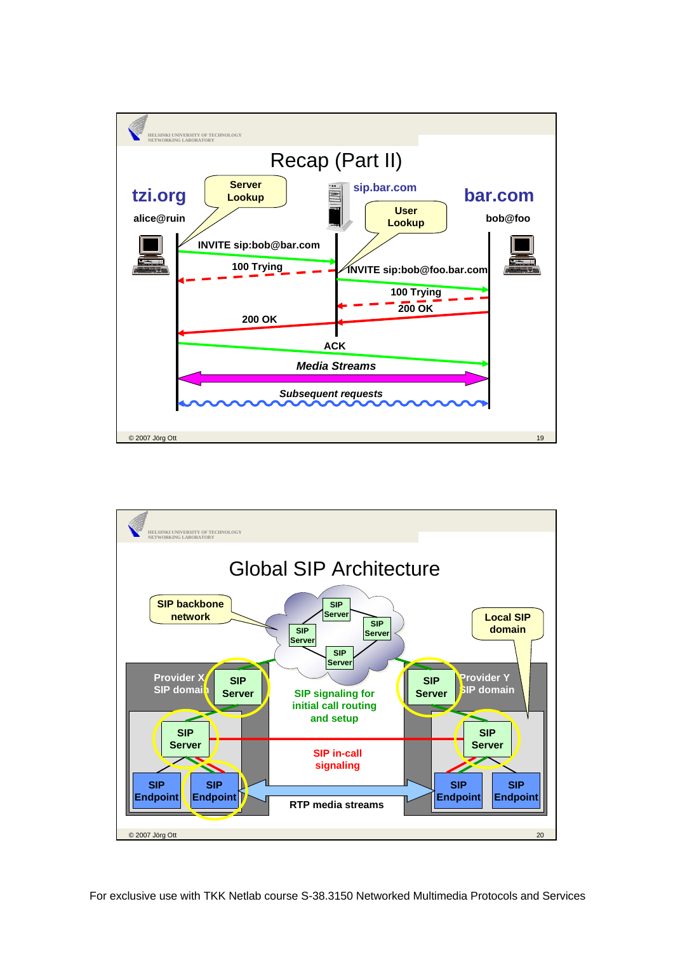

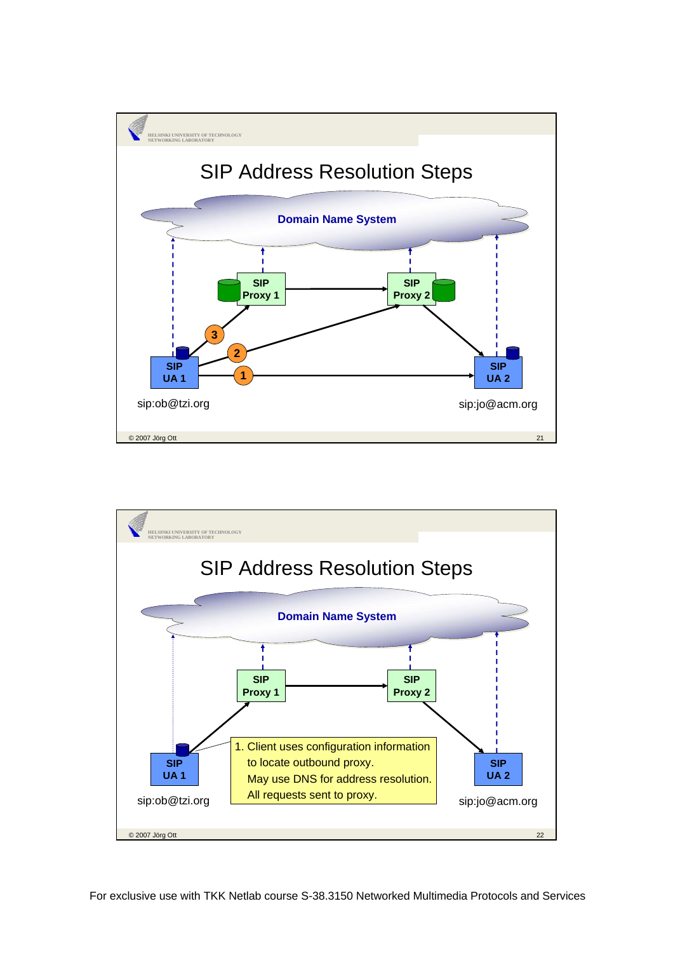

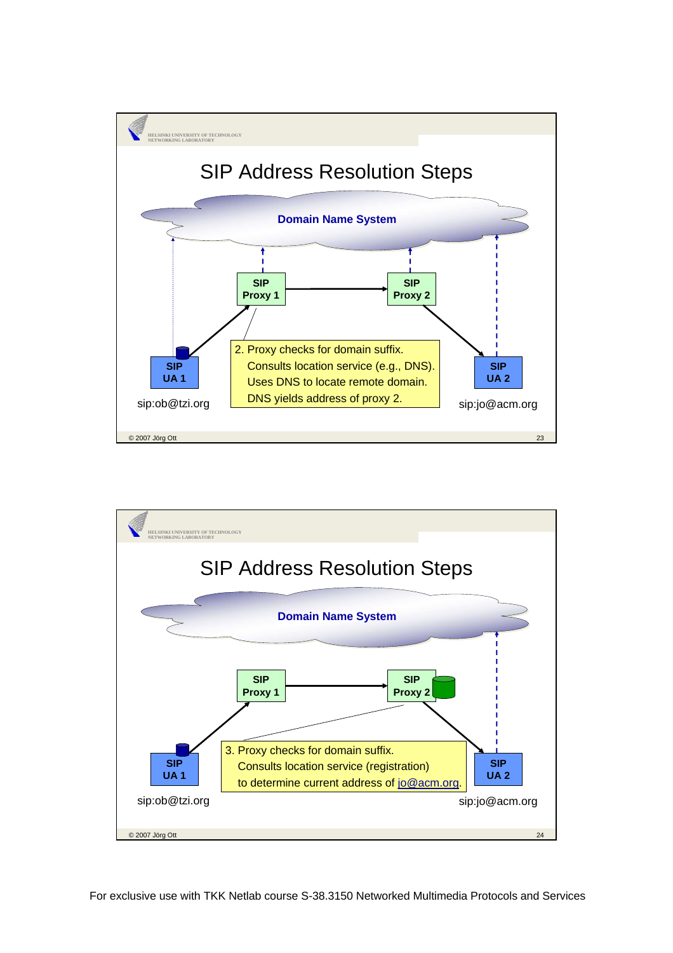

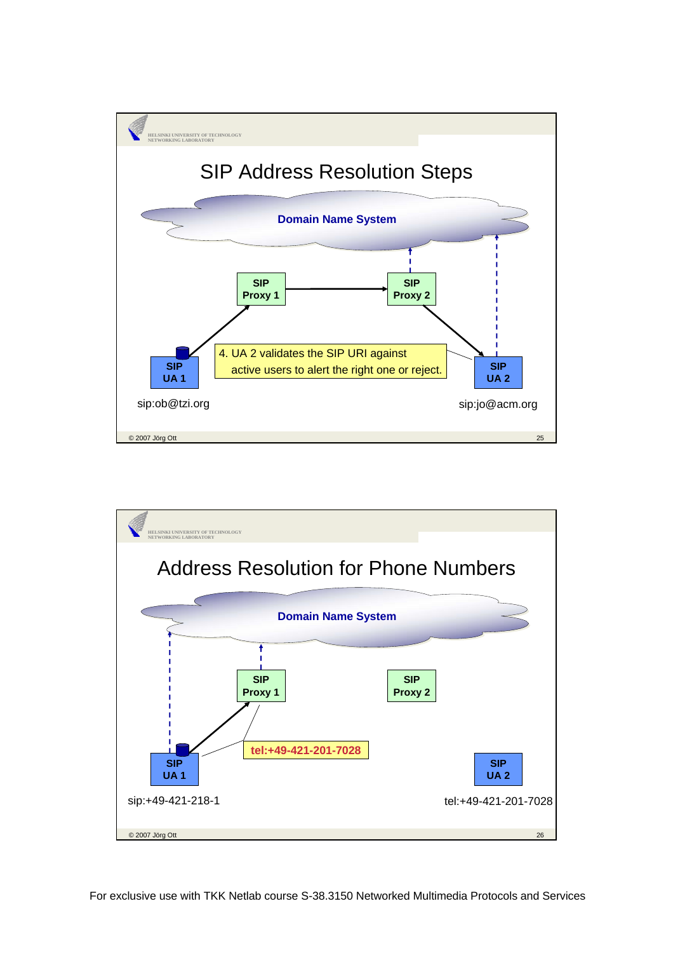

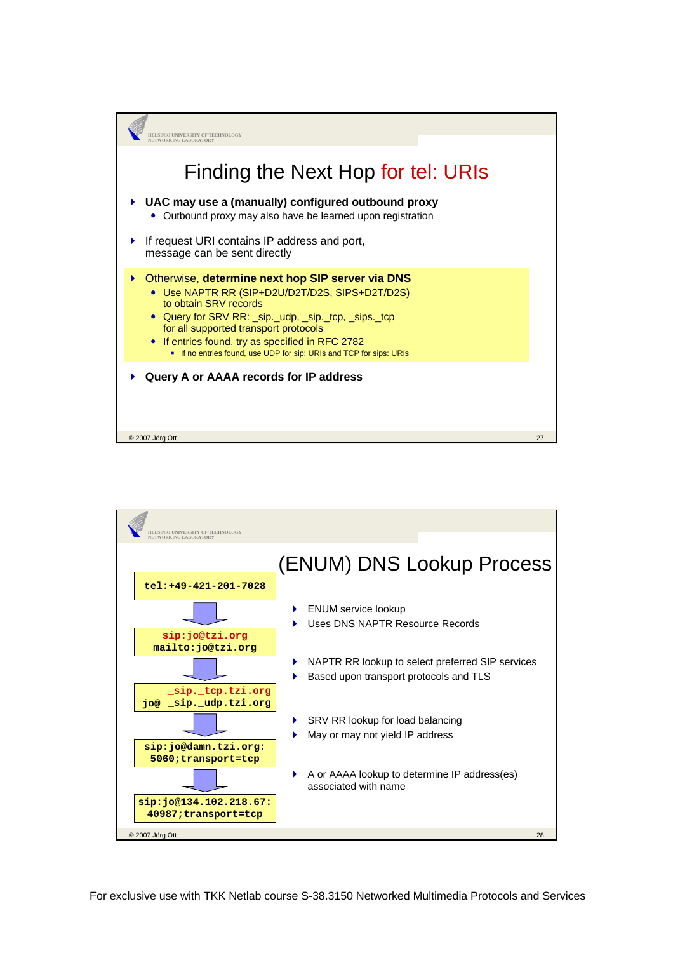

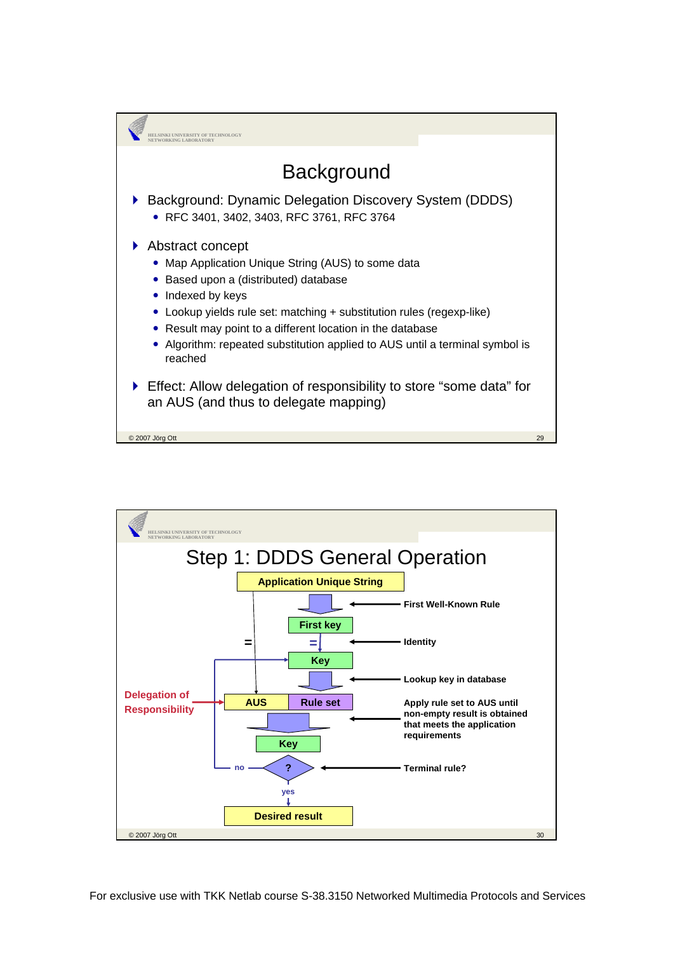

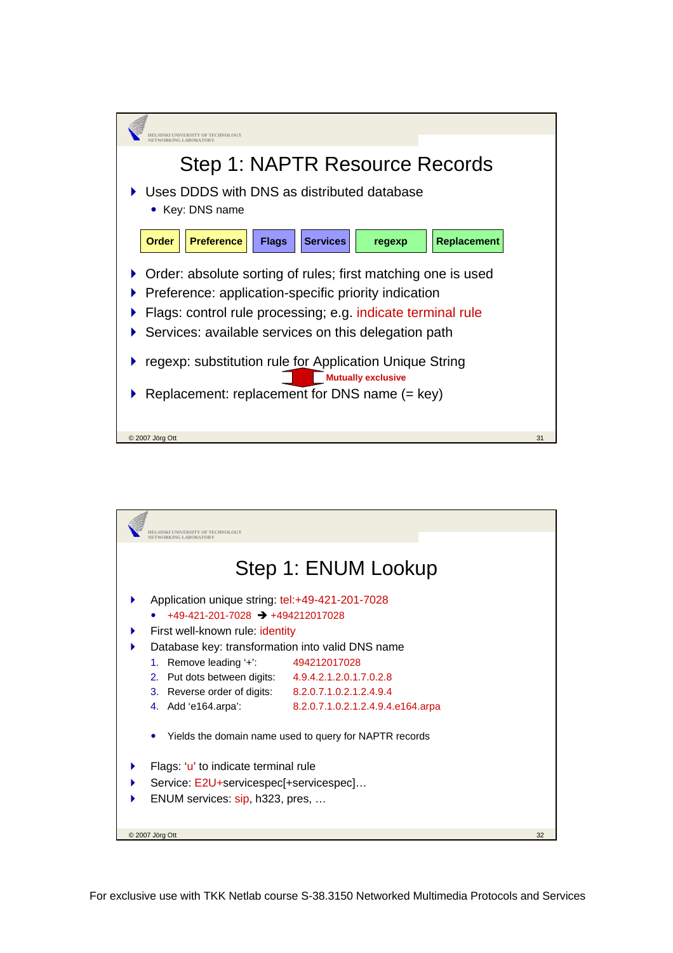

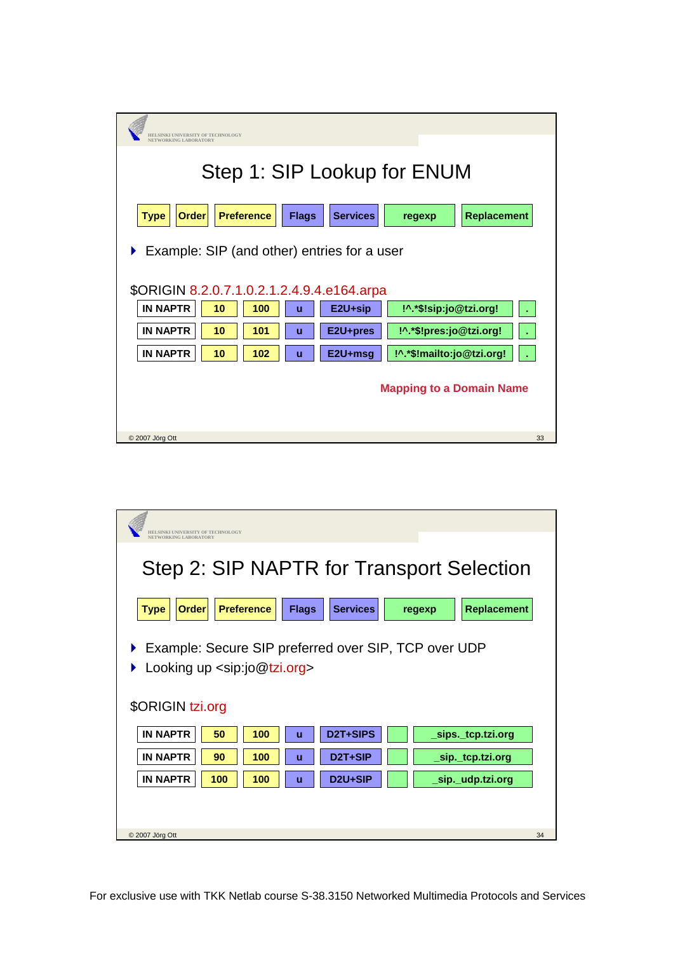| HELSINKI UNIVERSITY OF TECHNOLOGY                 |              |                 |                           |                    |    |  |  |
|---------------------------------------------------|--------------|-----------------|---------------------------|--------------------|----|--|--|
| NETWORKING LABORATORY                             |              |                 |                           |                    |    |  |  |
| Step 1: SIP Lookup for ENUM                       |              |                 |                           |                    |    |  |  |
|                                                   |              |                 |                           |                    |    |  |  |
| <b>Order</b><br><b>Preference</b><br><b>Type</b>  | <b>Flags</b> | <b>Services</b> | regexp                    | <b>Replacement</b> |    |  |  |
|                                                   |              |                 |                           |                    |    |  |  |
| Example: SIP (and other) entries for a user<br>Þ. |              |                 |                           |                    |    |  |  |
| \$ORIGIN 8.2.0.7.1.0.2.1.2.4.9.4.e164.arpa        |              |                 |                           |                    |    |  |  |
| <b>IN NAPTR</b><br>10<br>100                      | ū            | E2U+sip         | !^.*\$!sip:jo@tzi.org!    |                    |    |  |  |
| <b>IN NAPTR</b><br>10<br>101                      | ū            | E2U+pres        | !^.*\$!pres:jo@tzi.org!   |                    |    |  |  |
| <b>IN NAPTR</b><br>10<br>102                      | ū            | E2U+msg         | !^.*\$!mailto:jo@tzi.org! |                    |    |  |  |
|                                                   |              |                 |                           |                    |    |  |  |
| <b>Mapping to a Domain Name</b>                   |              |                 |                           |                    |    |  |  |
|                                                   |              |                 |                           |                    |    |  |  |
| © 2007 Jörg Ott                                   |              |                 |                           |                    | 33 |  |  |

| HELSINKI UNIVERSITY OF TECHNOLOGY                                                                                         |                                                               |        |                    |  |  |  |  |  |
|---------------------------------------------------------------------------------------------------------------------------|---------------------------------------------------------------|--------|--------------------|--|--|--|--|--|
| NETWORKING LABORATORY<br>Step 2: SIP NAPTR for Transport Selection                                                        |                                                               |        |                    |  |  |  |  |  |
| <b>Preference</b><br><b>Type</b><br>Order                                                                                 | <b>Services</b><br><b>Flags</b>                               | regexp | <b>Replacement</b> |  |  |  |  |  |
| Example: Secure SIP preferred over SIP, TCP over UDP<br>Looking up <sip:jo@tzi.org><br/>\$ORIGIN tzi.org</sip:jo@tzi.org> |                                                               |        |                    |  |  |  |  |  |
| <b>IN NAPTR</b><br>50<br>100                                                                                              | D2T+SIPS<br>ū                                                 |        | _sips._tcp.tzi.org |  |  |  |  |  |
| <b>IN NAPTR</b><br>90<br>100<br><b>IN NAPTR</b>                                                                           | D <sub>2</sub> T <sub>+</sub> SIP<br>ū<br>D <sub>2U+SIP</sub> |        | _sip._tcp.tzi.org  |  |  |  |  |  |
| 100<br>100                                                                                                                | ū                                                             |        | _sip._udp.tzi.org  |  |  |  |  |  |
| © 2007 Jörg Ott                                                                                                           |                                                               |        | 34                 |  |  |  |  |  |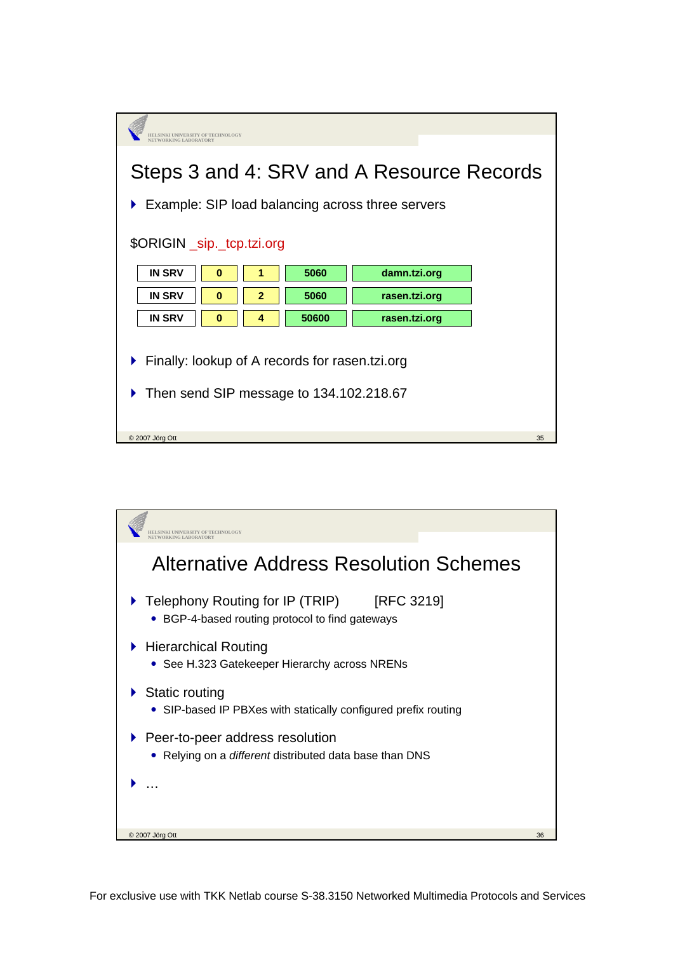| <b>JELSINKI UNIVERSITY OF TECHNOLOGY</b>            |                                                       |               |    |  |  |  |
|-----------------------------------------------------|-------------------------------------------------------|---------------|----|--|--|--|
|                                                     |                                                       |               |    |  |  |  |
| Steps 3 and 4: SRV and A Resource Records           |                                                       |               |    |  |  |  |
|                                                     |                                                       |               |    |  |  |  |
|                                                     | Example: SIP load balancing across three servers<br>▶ |               |    |  |  |  |
| \$ORIGIN _sip._tcp.tzi.org                          |                                                       |               |    |  |  |  |
|                                                     |                                                       |               |    |  |  |  |
| <b>IN SRV</b><br>0<br>1                             | 5060                                                  | damn.tzi.org  |    |  |  |  |
| <b>IN SRV</b><br>$\overline{2}$<br>0                | 5060                                                  | rasen.tzi.org |    |  |  |  |
| <b>IN SRV</b><br>$\bf{0}$<br>4                      | 50600                                                 | rasen.tzi.org |    |  |  |  |
|                                                     |                                                       |               |    |  |  |  |
| Finally: lookup of A records for rasen.tzi.org<br>Þ |                                                       |               |    |  |  |  |
| Then send SIP message to 134.102.218.67             |                                                       |               |    |  |  |  |
|                                                     |                                                       |               |    |  |  |  |
|                                                     |                                                       |               |    |  |  |  |
| C 2007 Jörg Ott                                     |                                                       |               | 35 |  |  |  |

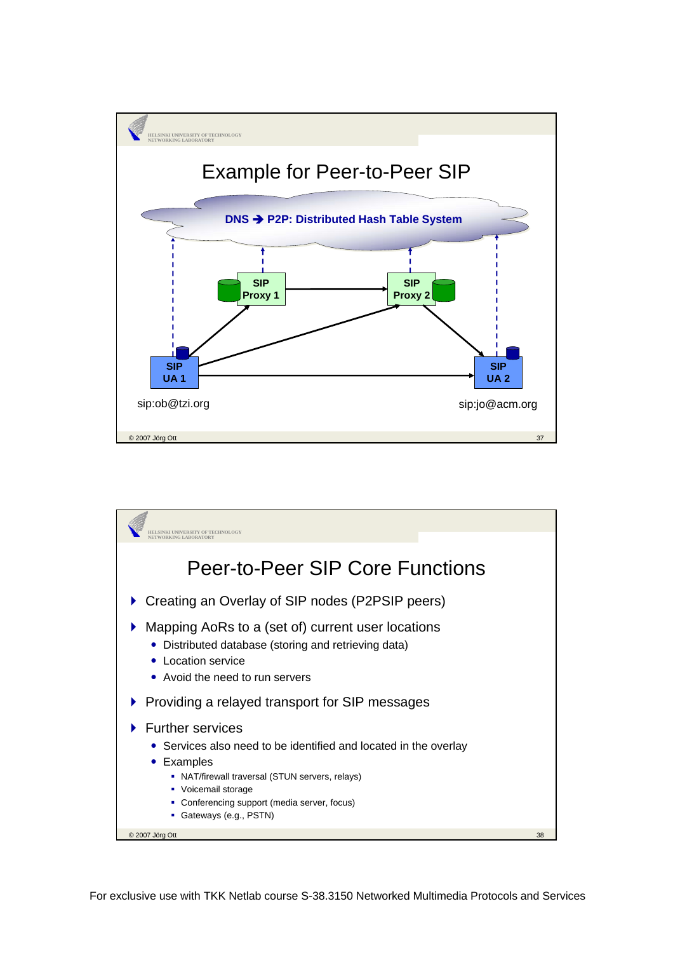

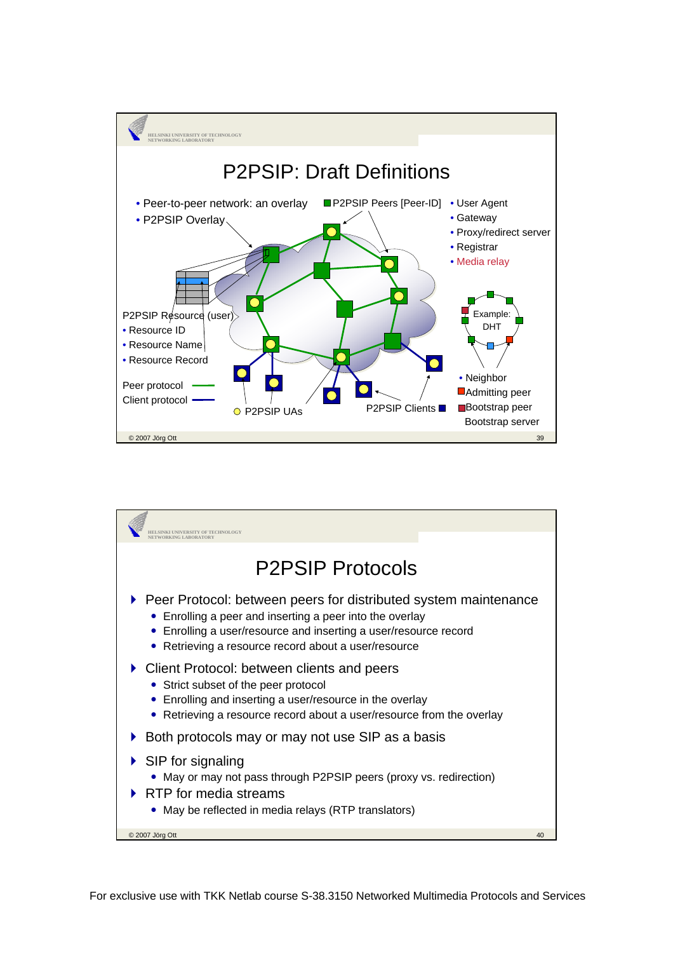

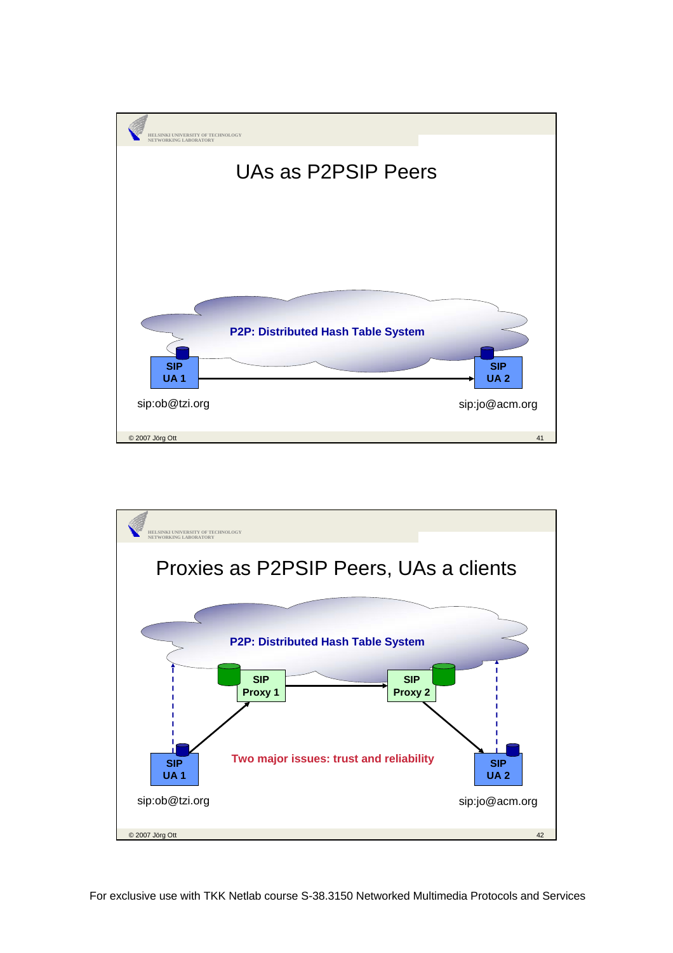

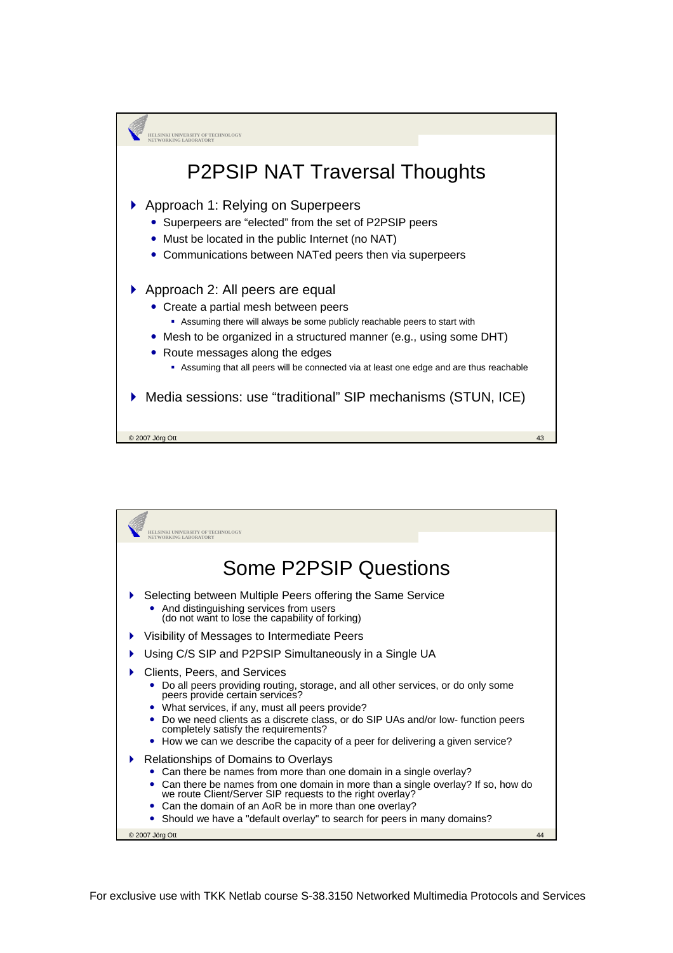